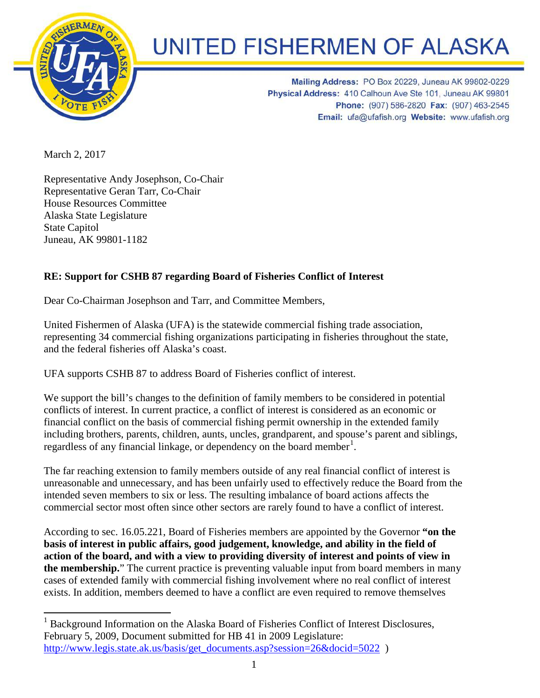

## **UNITED FISHERMEN OF ALASKA**

Mailing Address: PO Box 20229, Juneau AK 99802-0229 Physical Address: 410 Calhoun Ave Ste 101, Juneau AK 99801 Phone: (907) 586-2820 Fax: (907) 463-2545 Email: ufa@ufafish.org Website: www.ufafish.org

March 2, 2017

Representative Andy Josephson, Co-Chair Representative Geran Tarr, Co-Chair House Resources Committee Alaska State Legislature State Capitol Juneau, AK 99801-1182

## **RE: Support for CSHB 87 regarding Board of Fisheries Conflict of Interest**

Dear Co-Chairman Josephson and Tarr, and Committee Members,

United Fishermen of Alaska (UFA) is the statewide commercial fishing trade association, representing 34 commercial fishing organizations participating in fisheries throughout the state, and the federal fisheries off Alaska's coast.

UFA supports CSHB 87 to address Board of Fisheries conflict of interest.

We support the bill's changes to the definition of family members to be considered in potential conflicts of interest. In current practice, a conflict of interest is considered as an economic or financial conflict on the basis of commercial fishing permit ownership in the extended family including brothers, parents, children, aunts, uncles, grandparent, and spouse's parent and siblings, regardless of any financial linkage, or dependency on the board member<sup>[1](#page-0-0)</sup>.

The far reaching extension to family members outside of any real financial conflict of interest is unreasonable and unnecessary, and has been unfairly used to effectively reduce the Board from the intended seven members to six or less. The resulting imbalance of board actions affects the commercial sector most often since other sectors are rarely found to have a conflict of interest.

According to sec. 16.05.221, Board of Fisheries members are appointed by the Governor **"on the basis of interest in public affairs, good judgement, knowledge, and ability in the field of action of the board, and with a view to providing diversity of interest and points of view in the membership.**" The current practice is preventing valuable input from board members in many cases of extended family with commercial fishing involvement where no real conflict of interest exists. In addition, members deemed to have a conflict are even required to remove themselves

<span id="page-0-0"></span><sup>&</sup>lt;sup>1</sup> Background Information on the Alaska Board of Fisheries Conflict of Interest Disclosures, February 5, 2009, Document submitted for HB 41 in 2009 Legislature: [http://www.legis.state.ak.us/basis/get\\_documents.asp?session=26&docid=5022](http://www.legis.state.ak.us/basis/get_documents.asp?session=26&docid=5022) )